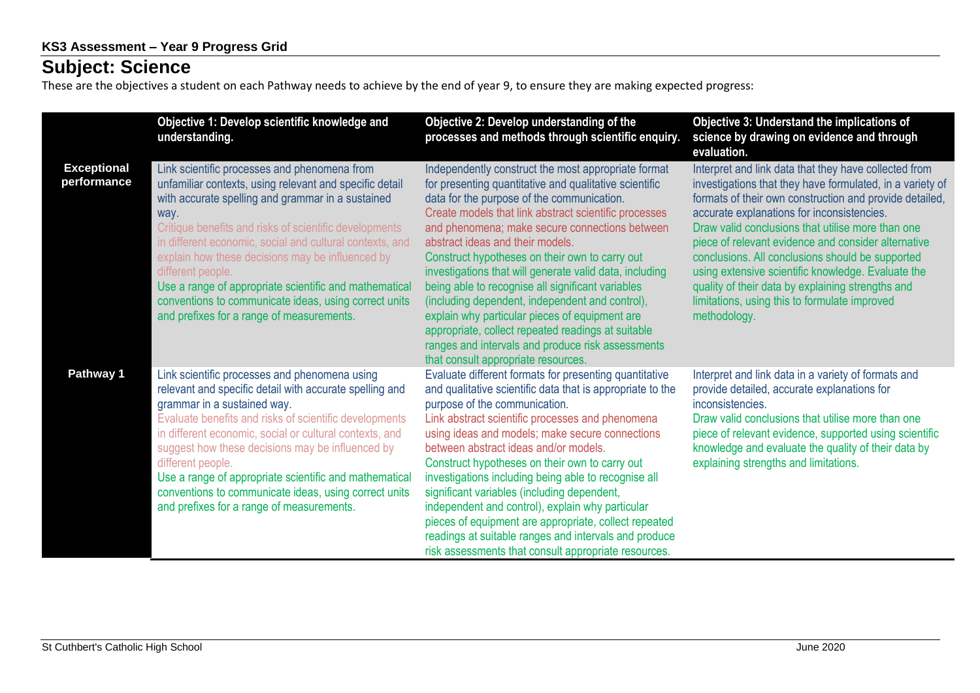## **Subject: Science**

These are the objectives a student on each Pathway needs to achieve by the end of year 9, to ensure they are making expected progress:

|                                   | Objective 1: Develop scientific knowledge and<br>understanding.                                                                                                                                                                                                                                                                                                                                                                                                                                                                     | Objective 2: Develop understanding of the<br>processes and methods through scientific enquiry.                                                                                                                                                                                                                                                                                                                                                                                                                                                                                                                                                                                                                                      | Objective 3: Understand the implications of<br>science by drawing on evidence and through<br>evaluation.                                                                                                                                                                                                                                                                                                                                                                                                                                                                |
|-----------------------------------|-------------------------------------------------------------------------------------------------------------------------------------------------------------------------------------------------------------------------------------------------------------------------------------------------------------------------------------------------------------------------------------------------------------------------------------------------------------------------------------------------------------------------------------|-------------------------------------------------------------------------------------------------------------------------------------------------------------------------------------------------------------------------------------------------------------------------------------------------------------------------------------------------------------------------------------------------------------------------------------------------------------------------------------------------------------------------------------------------------------------------------------------------------------------------------------------------------------------------------------------------------------------------------------|-------------------------------------------------------------------------------------------------------------------------------------------------------------------------------------------------------------------------------------------------------------------------------------------------------------------------------------------------------------------------------------------------------------------------------------------------------------------------------------------------------------------------------------------------------------------------|
| <b>Exceptional</b><br>performance | Link scientific processes and phenomena from<br>unfamiliar contexts, using relevant and specific detail<br>with accurate spelling and grammar in a sustained<br>way.<br>Critique benefits and risks of scientific developments<br>in different economic, social and cultural contexts, and<br>explain how these decisions may be influenced by<br>different people.<br>Use a range of appropriate scientific and mathematical<br>conventions to communicate ideas, using correct units<br>and prefixes for a range of measurements. | Independently construct the most appropriate format<br>for presenting quantitative and qualitative scientific<br>data for the purpose of the communication.<br>Create models that link abstract scientific processes<br>and phenomena; make secure connections between<br>abstract ideas and their models.<br>Construct hypotheses on their own to carry out<br>investigations that will generate valid data, including<br>being able to recognise all significant variables<br>(including dependent, independent and control),<br>explain why particular pieces of equipment are<br>appropriate, collect repeated readings at suitable<br>ranges and intervals and produce risk assessments<br>that consult appropriate resources. | Interpret and link data that they have collected from<br>investigations that they have formulated, in a variety of<br>formats of their own construction and provide detailed,<br>accurate explanations for inconsistencies.<br>Draw valid conclusions that utilise more than one<br>piece of relevant evidence and consider alternative<br>conclusions. All conclusions should be supported<br>using extensive scientific knowledge. Evaluate the<br>quality of their data by explaining strengths and<br>limitations, using this to formulate improved<br>methodology. |
| Pathway 1                         | Link scientific processes and phenomena using<br>relevant and specific detail with accurate spelling and<br>grammar in a sustained way.<br>Evaluate benefits and risks of scientific developments<br>in different economic, social or cultural contexts, and<br>suggest how these decisions may be influenced by<br>different people.<br>Use a range of appropriate scientific and mathematical<br>conventions to communicate ideas, using correct units<br>and prefixes for a range of measurements.                               | Evaluate different formats for presenting quantitative<br>and qualitative scientific data that is appropriate to the<br>purpose of the communication.<br>Link abstract scientific processes and phenomena<br>using ideas and models; make secure connections<br>between abstract ideas and/or models.<br>Construct hypotheses on their own to carry out<br>investigations including being able to recognise all<br>significant variables (including dependent,<br>independent and control), explain why particular<br>pieces of equipment are appropriate, collect repeated<br>readings at suitable ranges and intervals and produce<br>risk assessments that consult appropriate resources.                                        | Interpret and link data in a variety of formats and<br>provide detailed, accurate explanations for<br>inconsistencies.<br>Draw valid conclusions that utilise more than one<br>piece of relevant evidence, supported using scientific<br>knowledge and evaluate the quality of their data by<br>explaining strengths and limitations.                                                                                                                                                                                                                                   |